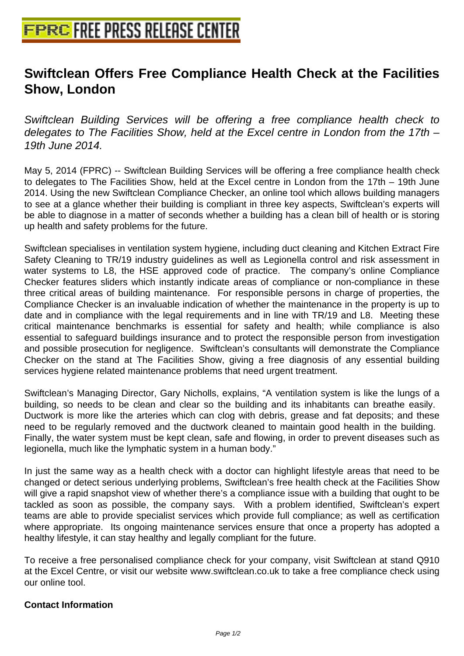## **[Swiftclean Offers Free Compliance](http://www.free-press-release-center.info) Health Check at the Facilities Show, London**

Swiftclean Building Services will be offering a free compliance health check to delegates to The Facilities Show, held at the Excel centre in London from the 17th – 19th June 2014.

May 5, 2014 (FPRC) -- Swiftclean Building Services will be offering a free compliance health check to delegates to The Facilities Show, held at the Excel centre in London from the 17th – 19th June 2014. Using the new Swiftclean Compliance Checker, an online tool which allows building managers to see at a glance whether their building is compliant in three key aspects, Swiftclean's experts will be able to diagnose in a matter of seconds whether a building has a clean bill of health or is storing up health and safety problems for the future.

Swiftclean specialises in ventilation system hygiene, including duct cleaning and Kitchen Extract Fire Safety Cleaning to TR/19 industry guidelines as well as Legionella control and risk assessment in water systems to L8, the HSE approved code of practice. The company's online Compliance Checker features sliders which instantly indicate areas of compliance or non-compliance in these three critical areas of building maintenance. For responsible persons in charge of properties, the Compliance Checker is an invaluable indication of whether the maintenance in the property is up to date and in compliance with the legal requirements and in line with TR/19 and L8. Meeting these critical maintenance benchmarks is essential for safety and health; while compliance is also essential to safeguard buildings insurance and to protect the responsible person from investigation and possible prosecution for negligence. Swiftclean's consultants will demonstrate the Compliance Checker on the stand at The Facilities Show, giving a free diagnosis of any essential building services hygiene related maintenance problems that need urgent treatment.

Swiftclean's Managing Director, Gary Nicholls, explains, "A ventilation system is like the lungs of a building, so needs to be clean and clear so the building and its inhabitants can breathe easily. Ductwork is more like the arteries which can clog with debris, grease and fat deposits; and these need to be regularly removed and the ductwork cleaned to maintain good health in the building. Finally, the water system must be kept clean, safe and flowing, in order to prevent diseases such as legionella, much like the lymphatic system in a human body."

In just the same way as a health check with a doctor can highlight lifestyle areas that need to be changed or detect serious underlying problems, Swiftclean's free health check at the Facilities Show will give a rapid snapshot view of whether there's a compliance issue with a building that ought to be tackled as soon as possible, the company says. With a problem identified, Swiftclean's expert teams are able to provide specialist services which provide full compliance; as well as certification where appropriate. Its ongoing maintenance services ensure that once a property has adopted a healthy lifestyle, it can stay healthy and legally compliant for the future.

To receive a free personalised compliance check for your company, visit Swiftclean at stand Q910 at the Excel Centre, or visit our website www.swiftclean.co.uk to take a free compliance check using our online tool.

## **Contact Information**